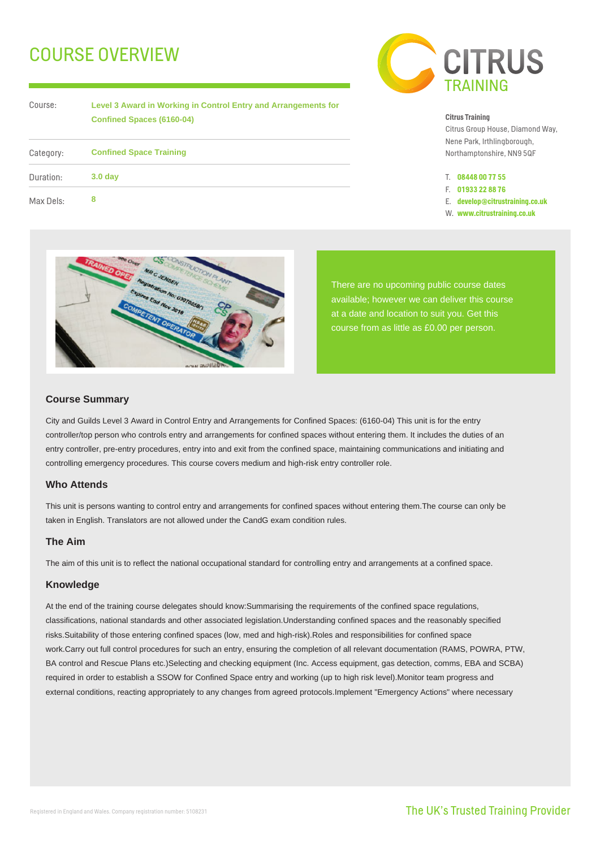# COURSE OVERVIEW



| Course:   | Level 3 Award in Working in Control Entry and Arrangements for<br><b>Confined Spaces (6160-04)</b> |
|-----------|----------------------------------------------------------------------------------------------------|
| Category: | <b>Confined Space Training</b>                                                                     |
| Duration: | 3.0 <sub>day</sub>                                                                                 |
| Max Dels: | 8                                                                                                  |

#### **Citrus Training**

Citrus Group House, Diamond Way, Nene Park, Irthlingborough, Northamptonshire, NN9 5QF

- T. **08448 00 77 55**
- F. **01933 22 88 76**
- E. **develop@citrustraining.co.uk**
- W. **www.citrustraining.co.uk**



There are no upcoming public course dates available; however we can deliver this course at a date and location to suit you. Get this course from as little as £0.00 per person.

### **Course Summary**

City and Guilds Level 3 Award in Control Entry and Arrangements for Confined Spaces: (6160-04) This unit is for the entry controller/top person who controls entry and arrangements for confined spaces without entering them. It includes the duties of an entry controller, pre-entry procedures, entry into and exit from the confined space, maintaining communications and initiating and controlling emergency procedures. This course covers medium and high-risk entry controller role.

## **Who Attends**

This unit is persons wanting to control entry and arrangements for confined spaces without entering them.The course can only be taken in English. Translators are not allowed under the CandG exam condition rules.

## **The Aim**

The aim of this unit is to reflect the national occupational standard for controlling entry and arrangements at a confined space.

#### **Knowledge**

At the end of the training course delegates should know:Summarising the requirements of the confined space regulations, classifications, national standards and other associated legislation.Understanding confined spaces and the reasonably specified risks.Suitability of those entering confined spaces (low, med and high-risk).Roles and responsibilities for confined space work.Carry out full control procedures for such an entry, ensuring the completion of all relevant documentation (RAMS, POWRA, PTW, BA control and Rescue Plans etc.)Selecting and checking equipment (Inc. Access equipment, gas detection, comms, EBA and SCBA) required in order to establish a SSOW for Confined Space entry and working (up to high risk level).Monitor team progress and external conditions, reacting appropriately to any changes from agreed protocols.Implement "Emergency Actions" where necessary